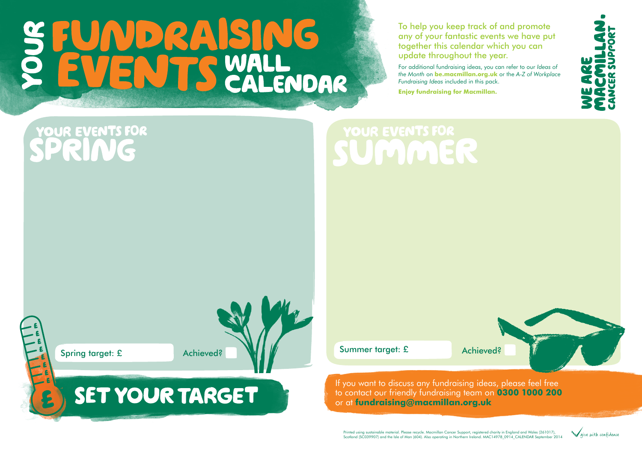If you want to discuss any fundraising ideas, please feel free to contact our friendly fundraising team on **0300 1000 200** or at **[fundraising@macmillan.org.uk](mailto: fundraising@macmillan.org.uk)**

#### NG  $\begin{array}{|c|c|c|}\hline \textbf{D} & \textbf{Q} & \textbf{A} \\ \hline \end{array}$ S WALL<br>S CALENDAR VEN

To help you keep track of and promote any of your fantastic events we have put together this calendar which you can update throughout the year.







For additional fundraising ideas, you can refer to our *Ideas of the Month* on **[be.macmillan.org.uk](http://be.macmillan.org.uk/be/default.aspx)** or the *A-Z of Workplace Fundraising Ideas* included in this pack.

**Enjoy fundraising for Macmillan.**

#### **OUR EVENTS FOR** SPRIN



# SET YOUR TARGET

#### **YOUR EVENTS FOR** Ujulu